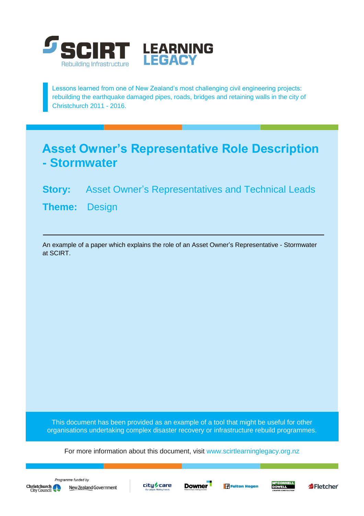

Lessons learned from one of New Zealand's most challenging civil engineering projects: rebuilding the earthquake damaged pipes, roads, bridges and retaining walls in the city of Christchurch 2011 - 2016.

## **Asset Owner's Representative Role Description - Stormwater**

## **Story:** Asset Owner's Representatives and Technical Leads

**Theme:** Design

An example of a paper which explains the role of an Asset Owner's Representative - Stormwater at SCIRT.

This document has been provided as an example of a tool that might be useful for other organisations undertaking complex disaster recovery or infrastructure rebuild programmes.

For more information about this document, visit [www.scirtlearninglegacy.org.nz](http://www.scirtlearninglegacy.org.nz/)









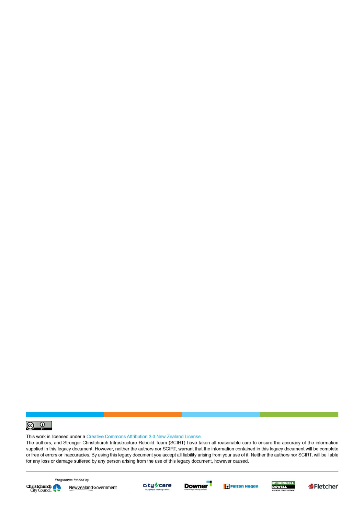

This work is licensed under a Creative Commons Attribution 3.0 New Zealand License.

The authors, and Stronger Christchurch Infrastructure Rebuild Team (SCIRT) have taken all reasonable care to ensure the accuracy of the information supplied in this legacy document. However, neither the authors nor SCIRT, warrant that the information contained in this legacy document will be complete or free of errors or inaccuracies. By using this legacy document you accept all liability arising from your use of it. Neither the authors nor SCIRT, will be liable for any loss or damage suffered by any person arising from the use of this legacy document, however caused.



Programme funded by New Zealand Government









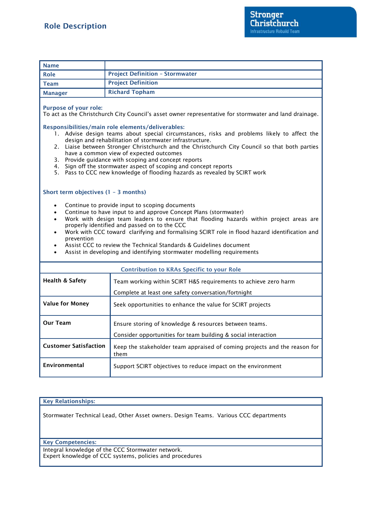| <b>Name</b>                                                                                                                                                                                                                                                                                                                                                                                                                                                                                                                                                                                                                                                                                                  |                                                                                                                         |
|--------------------------------------------------------------------------------------------------------------------------------------------------------------------------------------------------------------------------------------------------------------------------------------------------------------------------------------------------------------------------------------------------------------------------------------------------------------------------------------------------------------------------------------------------------------------------------------------------------------------------------------------------------------------------------------------------------------|-------------------------------------------------------------------------------------------------------------------------|
| Role                                                                                                                                                                                                                                                                                                                                                                                                                                                                                                                                                                                                                                                                                                         | <b>Project Definition - Stormwater</b>                                                                                  |
| <b>Team</b>                                                                                                                                                                                                                                                                                                                                                                                                                                                                                                                                                                                                                                                                                                  | <b>Project Definition</b>                                                                                               |
| <b>Manager</b>                                                                                                                                                                                                                                                                                                                                                                                                                                                                                                                                                                                                                                                                                               | <b>Richard Topham</b>                                                                                                   |
| <b>Purpose of your role:</b><br>To act as the Christchurch City Council's asset owner representative for stormwater and land drainage.<br>Responsibilities/main role elements/deliverables:<br>1. Advise design teams about special circumstances, risks and problems likely to affect the<br>design and rehabilitation of stormwater infrastructure.<br>2. Liaise between Stronger Christchurch and the Christchurch City Council so that both parties<br>have a common view of expected outcomes<br>3. Provide guidance with scoping and concept reports<br>4. Sign off the stormwater aspect of scoping and concept reports<br>5. Pass to CCC new knowledge of flooding hazards as revealed by SCIRT work |                                                                                                                         |
| Short term objectives $(1 - 3$ months)<br>Continue to provide input to scoping documents<br>$\bullet$<br>Continue to have input to and approve Concept Plans (stormwater)<br>$\bullet$<br>Work with design team leaders to ensure that flooding hazards within project areas are<br>$\bullet$<br>properly identified and passed on to the CCC<br>Work with CCC toward clarifying and formalising SCIRT role in flood hazard identification and<br>$\bullet$<br>prevention<br>Assist CCC to review the Technical Standards & Guidelines document<br>Assist in developing and identifying stormwater modelling requirements                                                                                    |                                                                                                                         |
| <b>Contribution to KRAs Specific to your Role</b>                                                                                                                                                                                                                                                                                                                                                                                                                                                                                                                                                                                                                                                            |                                                                                                                         |
| <b>Health &amp; Safety</b>                                                                                                                                                                                                                                                                                                                                                                                                                                                                                                                                                                                                                                                                                   | Team working within SCIRT H&S requirements to achieve zero harm<br>Complete at least one safety conversation/fortnight  |
| <b>Value for Money</b>                                                                                                                                                                                                                                                                                                                                                                                                                                                                                                                                                                                                                                                                                       | Seek opportunities to enhance the value for SCIRT projects                                                              |
| <b>Our Team</b>                                                                                                                                                                                                                                                                                                                                                                                                                                                                                                                                                                                                                                                                                              | Ensure storing of knowledge & resources between teams.<br>Consider opportunities for team building & social interaction |
| <b>Customer Satisfaction</b>                                                                                                                                                                                                                                                                                                                                                                                                                                                                                                                                                                                                                                                                                 | Keep the stakeholder team appraised of coming projects and the reason for<br>them                                       |
| Environmental                                                                                                                                                                                                                                                                                                                                                                                                                                                                                                                                                                                                                                                                                                | Support SCIRT objectives to reduce impact on the environment                                                            |

## **Key Relationships:**

Stormwater Technical Lead, Other Asset owners. Design Teams. Various CCC departments

## **Key Competencies:**

Integral knowledge of the CCC Stormwater network. Expert knowledge of CCC systems, policies and procedures